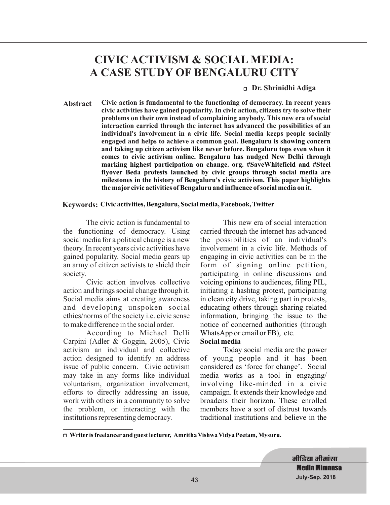# **CIVIC ACTIVISM & SOCIAL MEDIA: A CASE STUDY OF BENGALURU CITY**

#### <sup>r</sup> **Dr. Shrinidhi Adiga**

**Abstract Civic action is fundamental to the functioning of democracy. In recent years civic activities have gained popularity. In civic action, citizens try to solve their problems on their own instead of complaining anybody. This new era of social interaction carried through the internet has advanced the possibilities of an individual's involvement in a civic life. Social media keeps people socially engaged and helps to achieve a common goal. Bengaluru is showing concern and taking up citizen activism like never before. Bengaluru tops even when it comes to civic activism online. Bengaluru has nudged New Delhi through marking highest participation on change. org. #SaveWhitefield and #Steel flyover Beda protests launched by civic groups through social media are milestones in the history of Bengaluru's civic activism. This paper highlights the major civic activities of Bengaluru and influence of social media on it.**

#### **Keywords: Civic activities, Bengaluru, Social media, Facebook, Twitter**

The civic action is fundamental to the functioning of democracy. Using social media for a political change is a new theory. In recent years civic activities have gained popularity. Social media gears up an army of citizen activists to shield their society.

Civic action involves collective action and brings social change through it. Social media aims at creating awareness and developing unspoken social ethics/norms of the society i.e. civic sense to make difference in the social order.

According to Michael Delli Carpini (Adler & Goggin, 2005), Civic activism an individual and collective action designed to identify an address issue of public concern. Civic activism may take in any forms like individual voluntarism, organization involvement, efforts to directly addressing an issue, work with others in a community to solve the problem, or interacting with the institutions representing democracy.

This new era of social interaction carried through the internet has advanced the possibilities of an individual's involvement in a civic life. Methods of engaging in civic activities can be in the form of signing online petition, participating in online discussions and voicing opinions to audiences, filing PIL, initiating a hashtag protest, participating in clean city drive, taking part in protests, educating others through sharing related information, bringing the issue to the notice of concerned authorities (through WhatsApp or email or FB), etc.

#### **Social media**

Today social media are the power of young people and it has been considered as 'force for change'. Social media works as a tool in engaging/ involving like-minded in a civic campaign. It extends their knowledge and broadens their horizon. These enrolled members have a sort of distrust towards traditional institutions and believe in the

<sup>r</sup> **Writer is freelancer and guest lecturer, Amritha Vishwa Vidya Peetam, Mysuru.**

मीडिया मीमां**सा Media Mimansa July-Sep. 2018**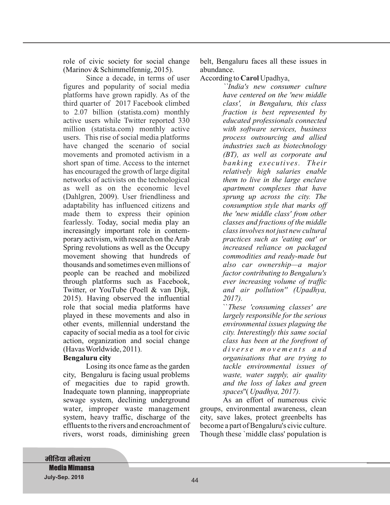role of civic society for social change (Marinov & Schimmelfennig, 2015).

fearlessly. Today, social media play an increasingly important role in contemporary activism, with research on theArab Spring revolutions as well as the Occupy movement showing that hundreds of thousands and sometimes even millions of people can be reached and mobilized through platforms such as Facebook, Twitter, or YouTube (Poell & van Dijk, 2015). Having observed the influential role that social media platforms have played in these movements and also in other events, millennial understand the capacity of social media as a tool for civic action, organization and social change (Havas Worldwide, 2011). Since a decade, in terms of user figures and popularity of social media platforms have grown rapidly. As of the third quarter of 2017 Facebook climbed to 2.07 billion (statista.com) monthly active users while Twitter reported 330 million (statista.com) monthly active users. This rise of social media platforms have changed the scenario of social movements and promoted activism in a short span of time. Access to the internet has encouraged the growth of large digital networks of activists on the technological as well as on the economic level (Dahlgren, 2009). User friendliness and adaptability has influenced citizens and made them to express their opinion

#### **Bengaluru city**

Losing its once fame as the garden city, Bengaluru is facing usual problems of megacities due to rapid growth. Inadequate town planning, inappropriate sewage system, declining underground water, improper waste management system, heavy traffic, discharge of the effluents to the rivers and encroachment of rivers, worst roads, diminishing green

belt, Bengaluru faces all these issues in abundance.

According to **Carol** Upadhya,

*``India's new consumer culture have centered on the 'new middle class', in Bengaluru, this class fraction is best represented by educated professionals connected with software services, business process outsourcing and allied industries such as biotechnology (BT), as well as corporate and banking executives. Their relatively high salaries enable them to live in the large enclave apartment complexes that have sprung up across the city. The consumption style that marks off the 'new middle class' from other classes and fractions of the middle class involves not just new cultural practices such as 'eating out' or increased reliance on packaged commodities and ready-made but also car ownership—a major factor contributing to Bengaluru's ever increasing volume of traffic and air pollution'' (Upadhya, 2017).*

*These 'consuming classes' are* `` *largely responsible for the serious environmental issues plaguing the city. Interestingly this same social class has been at the forefront of d i v e r s e m o v e m e n t s a n d organisations that are trying to tackle environmental issues of waste, water supply, air quality and the loss of lakes and green* spaces"(Upadhya, 2017).

As an effort of numerous civic groups, environmental awareness, clean city, save lakes, protect greenbelts has become a part of Bengaluru's civic culture. Though these `middle class' population is

**मीडिया मीमांसा Media Mimansa July-Sep. 2018** 45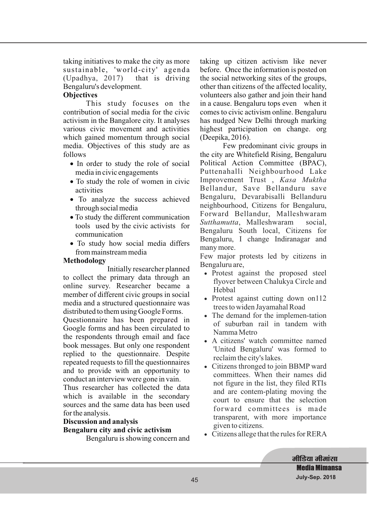taking initiatives to make the city as more sustainable, 'world-city' agenda (Upadhya, 2017) that is driving Bengaluru's development.

## **Objectives**

media. Objectives of this study are as follows This study focuses on the contribution of social media for the civic activism in the Bangalore city. It analyses various civic movement and activities which gained momentum through social

- In order to study the role of social media in civic engagements
- To study the role of women in civic activities
- To analyze the success achieved · through social media
- To study the different communication · tools used by the civic activists for communication
- To study how social media differs · from mainstream media

#### **Methodology**

Initially researcher planned to collect t he primary data through an online survey. Researcher became a member of different civic groups in social media and a structured questionnaire was distributed to them using Google Forms.

Questionnaire has been prepared in Google forms and has been circulated to the respondents through email and face book messages. But only one respondent replied to the questionnaire. Despite repeated requests to fill the questionnaires and to provide with an opportunity to conduct an interview were gone in vain.

Thus researcher has collected the data which is available in the secondary sources and the same data has been used for the analysis.

#### **Discussion and analysis**

#### **Bengaluru city and civic activism**

Bengaluru is showing concern and

taking up citizen activism like never before. Once the information is posted on the social networking sites of the groups, other than citizens of the affected locality, volunteers also gather and join their hand in a cause. Bengaluru tops even when it comes to civic activism online. Bengaluru has nudged New Delhi through marking highest participation on change. org (Deepika, 2016).

Few predominant civic groups in the city are Whitefield Rising, Bengaluru Political Action Committee (BPAC), Puttenahalli Neighbourhood Lake Improvement Trust , *Kasa Muktha* Bellandur, Save Bellanduru save Bengaluru, Devarabisalli Bellanduru neighbourhood, Citizens for Bengaluru, Forward Bellandur, Malleshwaram Sutthamutta, Malleshwaram social, Bengaluru South local, Citizens for Bengaluru, I change Indiranagar and many more.

Few major protests led by citizens in Bengaluru are,

- · Protest against the proposed steel flyover between Chalukya Circle and Hebbal
- · Protest against cutting down on112 trees to widen Jayamahal Road
- · The demand for the implemen-tation of suburban rail in tandem with Namma Metro
- · A citizens' watch committee named 'United Bengaluru' was formed to reclaim the city's lakes.
- · Citizens thronged to join BBMP ward committees. When their names did not figure in the list, they filed RTIs and are contem-plating moving the court to ensure that the selection forward committees is made transparent, with more importance given to citizens.
- · Citizens allege that the rules for RERA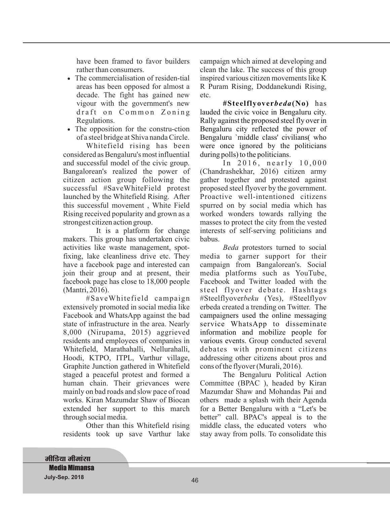have been framed to favor builders rather than consumers.

- The commercialisation of residen-tial areas has been opposed for almost a decade. The fight has gained new vigour with the government's new draft on Common Zoning Regulations.
- The opposition for the constru-ction of a steel bridge at Shiva nanda Circle.

Whitefield rising has been considered as Bengaluru's most influential and successful model of the civic group. Bangalorean's realized the power of citizen action group following the successful #SaveWhiteField protest launched by the Whitefield Rising. After this successful movement , White Field Rising received popularity and grown as a strongest citizen action group.

It is a platform for change makers. This group has undertaken civic activities like waste management, spotfixing, lake cleanliness drive etc. They have a facebook page and interested can join their group and at present, their facebook page has close to 18,000 people (Mantri, 2016).

#SaveWhitefield campaign extensively promoted in social media like Facebook and WhatsApp against the bad state of infrastructure in the area. Nearly 8,000 (Nirupama, 2015) aggrieved residents and employees of companies in Whitefield, Marathahalli, Nellurahalli, Hoodi, KTPO, ITPL, Varthur village, Graphite Junction gathered in Whitefield staged a peaceful protest and formed a human chain. Their grievances were mainly on bad roads and slow pace of road works. Kiran Mazumdar Shaw of Biocan extended her support to this march through social media.

Other than this Whitefield rising residents took up save Varthur lake campaign which aimed at developing and clean the lake. The success of this group inspired various citizen movements like K R Puram Rising, Doddanekundi Rising, etc.

**#Steelflyoverbeda(No)** has lauded the civic voice in Bengaluru city. Rally against the proposed steel fly over in Bengaluru city reflected the power of Bengaluru `middle class' civilians( who were once ignored by the politicians during polls) to the politicians.

In  $2016$ , nearly  $10,000$ (Chandrashekhar, 2016) citizen army gather together and protested against proposed steel flyover by the government. Proactive well-intentioned citizens spurred on by social media which has worked wonders towards rallying the masses to protect the city from the vested interests of self-serving politicians and babus.

Beda protestors turned to social media to garner support for their campaign from Bangalorean's. Social steel flyover debate. Hashtags #Steelflyoverbeku (Yes), #Steelflyov erbeda created a trending on Twitter. The various events. Group conducted several debates with prominent citizens addressing other citizens about pros and cons of the flyover (Murali, 2016). campaigners used the online messaging service WhatsApp to disseminate information and mobilize people for media platforms such as YouTube, Facebook and Twitter loaded with the

The Bengaluru Political Action Committee (BPAC ), headed by Kiran Mazumdar Shaw and Mohandas Pai and others made a splash with their Agenda for a Better Bengaluru with a "Let's be better" call. BPAC's appeal is to the middle class, the educated voters who stay away from polls. To consolidate this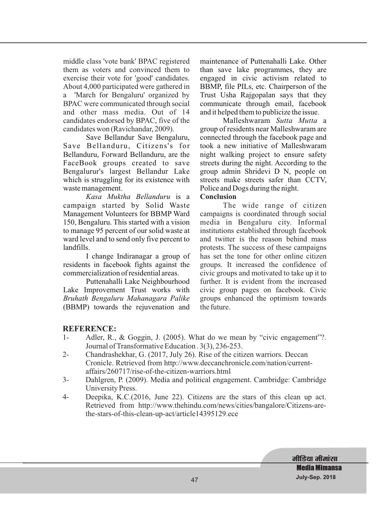middle class 'vote bank' BPAC registered them as voters and convinced them to exercise their vote for 'good' candidates. About 4,000 participated were gathered in a 'March for Bengaluru' organized by BPAC were communicated through social and other mass media. Out of 14 candidates endorsed by BPAC, five of the candidates won (Ravichandar, 2009).

Save Bellandur Save Bengaluru, Save Bellanduru, Citizens's for Bellanduru, Forward Bellanduru, are the FaceBook groups created to save Bengalurur's largest Bellandur Lake which is struggling for its existence with waste management.

*Kasa Muktha Bellanduru* is a campaign started by Solid Waste Management Volunteers for BBMP Ward 150, Bengaluru. This started with a vision to manage 95 percent of our solid waste at ward level and to send only five percent to landfills.

I change Indiranagar a group of residents in facebook fights against the commercialization of residential areas.

Puttenahalli Lake Neighbourhood Lake Improvement Trust works with (BBMP) towards the rejuvenation and *Bruhath Bengaluru Mahanagara Palike* maintenance of Puttenahalli Lake. Other than save lake programmes, they are engaged in civic activism related to BBMP, file PILs, etc. Chairperson of the Trust Usha Rajgopalan says that they communicate through email, facebook and it helped them to publicize the issue.

Malleshwaram Sutta Mutta a group of residents near Malleshwaram are connected through the facebook page and took a new initiative of Malleshwaram night walking project to ensure safety streets during the night. According to the group admin Shridevi D N, people on streets make streets safer than CCTV, Police and Dogs during the night.

## **Conclusion**

The wide range of citizen campaigns is coordinated through social media in Bengaluru city. Informal institutions established through facebook and twitter is the reason behind mass protests. The success of these campaigns has set the tone for other online citizen groups. It increased the confidence of civic groups and motivated to take up it to further. It is evident from the increased civic group pages on facebook. Civic groups enhanced the optimism towards the future.

## **REFERENCE:**

- 1- Adler, R., & Goggin, J. (2005). What do we mean by "civic engagement"?. Journal of Transformative Education . 3(3), 236-253.
- 2- Chandrashekhar, G. (2017, July 26). Rise of the citizen warriors. Deccan Cronicle. Retrieved from http://www.deccanchronicle.com/nation/currentaffairs/260717/rise-of-the-citizen-warriors.html
- 3- Dahlgren, P. (2009). Media and political engagement. Cambridge: Cambridge University Press.
- 4- Deepika, K.C.(2016, June 22). Citizens are the stars of this clean up act. Retrieved from http://www.thehindu.com/news/cities/bangalore/Citizens-arethe-stars-of-this-clean-up-act/article14395129.ece